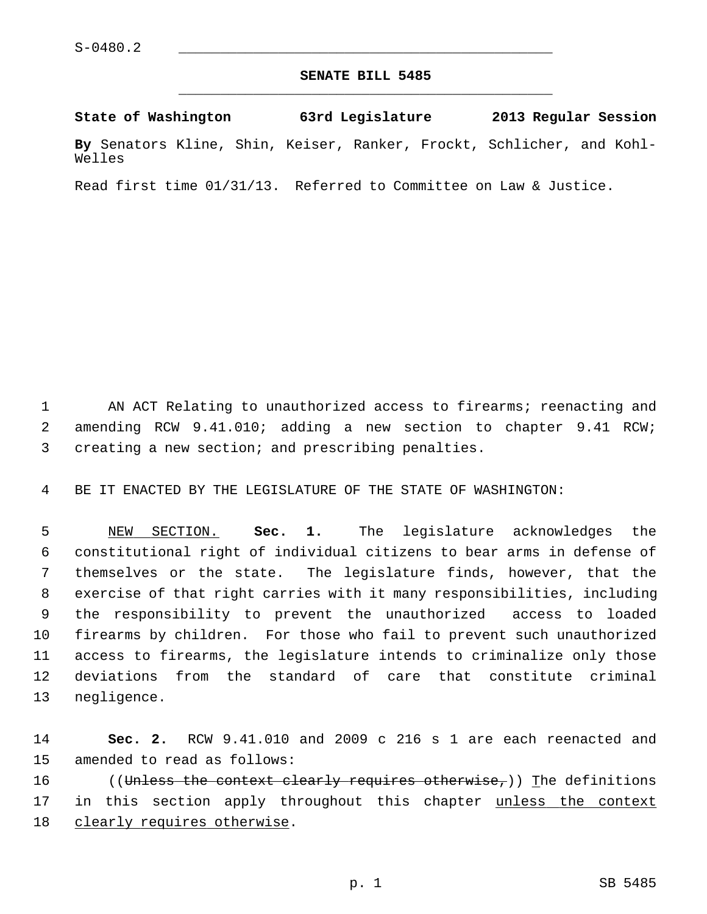## **SENATE BILL 5485** \_\_\_\_\_\_\_\_\_\_\_\_\_\_\_\_\_\_\_\_\_\_\_\_\_\_\_\_\_\_\_\_\_\_\_\_\_\_\_\_\_\_\_\_\_

**State of Washington 63rd Legislature 2013 Regular Session**

**By** Senators Kline, Shin, Keiser, Ranker, Frockt, Schlicher, and Kohl-Welles

Read first time 01/31/13. Referred to Committee on Law & Justice.

 1 AN ACT Relating to unauthorized access to firearms; reenacting and 2 amending RCW 9.41.010; adding a new section to chapter 9.41 RCW; 3 creating a new section; and prescribing penalties.

4 BE IT ENACTED BY THE LEGISLATURE OF THE STATE OF WASHINGTON:

 5 NEW SECTION. **Sec. 1.** The legislature acknowledges the 6 constitutional right of individual citizens to bear arms in defense of 7 themselves or the state. The legislature finds, however, that the 8 exercise of that right carries with it many responsibilities, including 9 the responsibility to prevent the unauthorized access to loaded 10 firearms by children. For those who fail to prevent such unauthorized 11 access to firearms, the legislature intends to criminalize only those 12 deviations from the standard of care that constitute criminal 13 negligence.

14 **Sec. 2.** RCW 9.41.010 and 2009 c 216 s 1 are each reenacted and 15 amended to read as follows:

16 ((Unless the context clearly requires otherwise,)) The definitions 17 in this section apply throughout this chapter unless the context 18 clearly requires otherwise.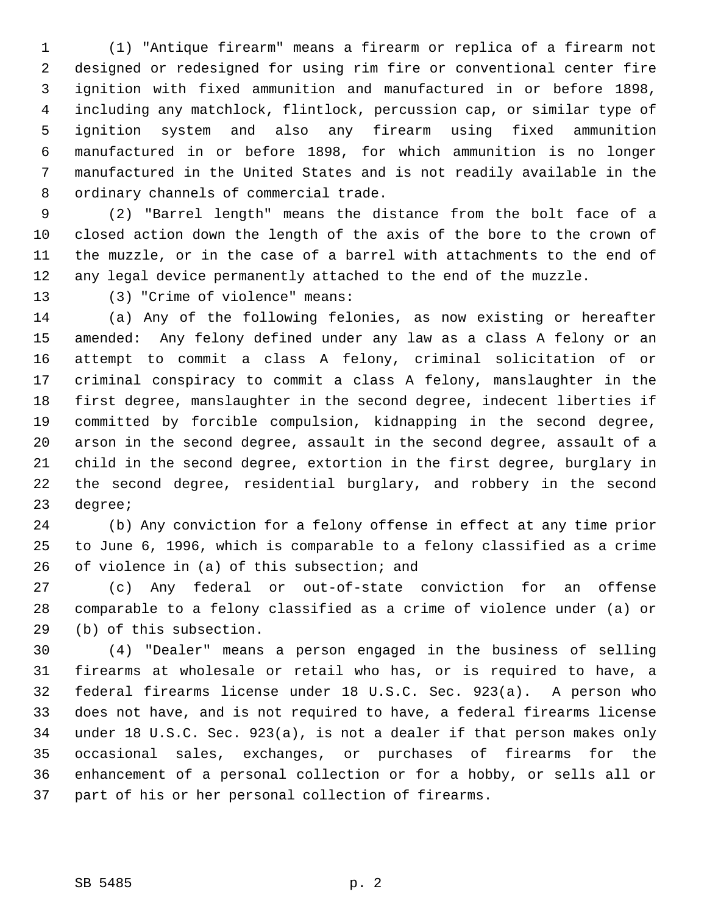1 (1) "Antique firearm" means a firearm or replica of a firearm not 2 designed or redesigned for using rim fire or conventional center fire 3 ignition with fixed ammunition and manufactured in or before 1898, 4 including any matchlock, flintlock, percussion cap, or similar type of 5 ignition system and also any firearm using fixed ammunition 6 manufactured in or before 1898, for which ammunition is no longer 7 manufactured in the United States and is not readily available in the 8 ordinary channels of commercial trade.

 9 (2) "Barrel length" means the distance from the bolt face of a 10 closed action down the length of the axis of the bore to the crown of 11 the muzzle, or in the case of a barrel with attachments to the end of 12 any legal device permanently attached to the end of the muzzle.

13 (3) "Crime of violence" means:

14 (a) Any of the following felonies, as now existing or hereafter 15 amended: Any felony defined under any law as a class A felony or an 16 attempt to commit a class A felony, criminal solicitation of or 17 criminal conspiracy to commit a class A felony, manslaughter in the 18 first degree, manslaughter in the second degree, indecent liberties if 19 committed by forcible compulsion, kidnapping in the second degree, 20 arson in the second degree, assault in the second degree, assault of a 21 child in the second degree, extortion in the first degree, burglary in 22 the second degree, residential burglary, and robbery in the second 23 degree;

24 (b) Any conviction for a felony offense in effect at any time prior 25 to June 6, 1996, which is comparable to a felony classified as a crime 26 of violence in (a) of this subsection; and

27 (c) Any federal or out-of-state conviction for an offense 28 comparable to a felony classified as a crime of violence under (a) or 29 (b) of this subsection.

30 (4) "Dealer" means a person engaged in the business of selling 31 firearms at wholesale or retail who has, or is required to have, a 32 federal firearms license under 18 U.S.C. Sec. 923(a). A person who 33 does not have, and is not required to have, a federal firearms license 34 under 18 U.S.C. Sec. 923(a), is not a dealer if that person makes only 35 occasional sales, exchanges, or purchases of firearms for the 36 enhancement of a personal collection or for a hobby, or sells all or 37 part of his or her personal collection of firearms.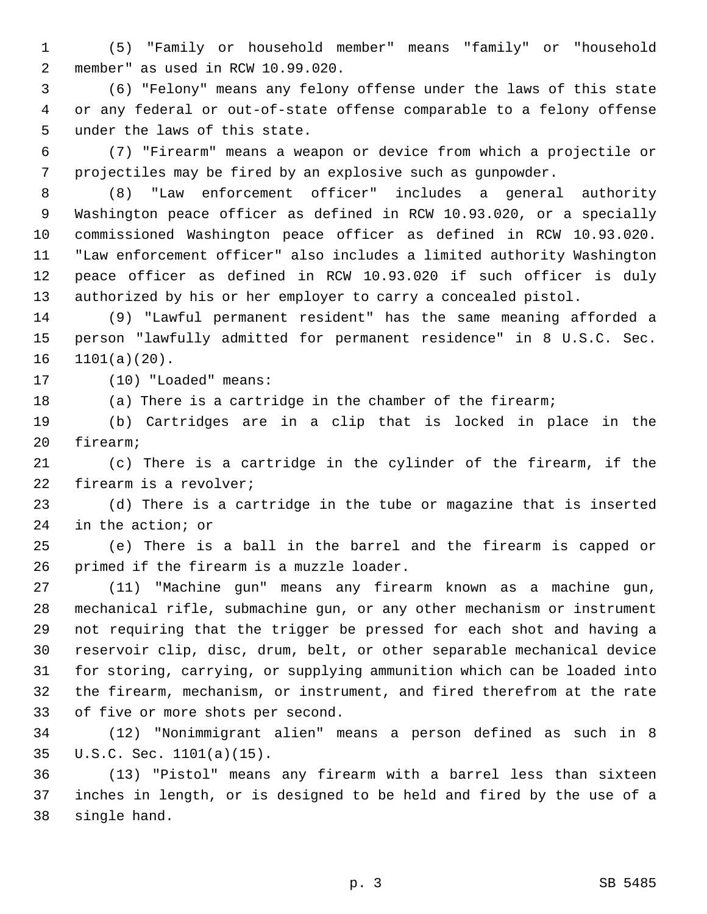1 (5) "Family or household member" means "family" or "household 2 member" as used in RCW 10.99.020.

 3 (6) "Felony" means any felony offense under the laws of this state 4 or any federal or out-of-state offense comparable to a felony offense 5 under the laws of this state.

 6 (7) "Firearm" means a weapon or device from which a projectile or 7 projectiles may be fired by an explosive such as gunpowder.

 8 (8) "Law enforcement officer" includes a general authority 9 Washington peace officer as defined in RCW 10.93.020, or a specially 10 commissioned Washington peace officer as defined in RCW 10.93.020. 11 "Law enforcement officer" also includes a limited authority Washington 12 peace officer as defined in RCW 10.93.020 if such officer is duly 13 authorized by his or her employer to carry a concealed pistol.

14 (9) "Lawful permanent resident" has the same meaning afforded a 15 person "lawfully admitted for permanent residence" in 8 U.S.C. Sec. 16 1101(a)(20).

17 (10) "Loaded" means:

18 (a) There is a cartridge in the chamber of the firearm;

19 (b) Cartridges are in a clip that is locked in place in the 20 firearm;

21 (c) There is a cartridge in the cylinder of the firearm, if the 22 firearm is a revolver;

23 (d) There is a cartridge in the tube or magazine that is inserted 24 in the action; or

25 (e) There is a ball in the barrel and the firearm is capped or 26 primed if the firearm is a muzzle loader.

27 (11) "Machine gun" means any firearm known as a machine gun, 28 mechanical rifle, submachine gun, or any other mechanism or instrument 29 not requiring that the trigger be pressed for each shot and having a 30 reservoir clip, disc, drum, belt, or other separable mechanical device 31 for storing, carrying, or supplying ammunition which can be loaded into 32 the firearm, mechanism, or instrument, and fired therefrom at the rate 33 of five or more shots per second.

34 (12) "Nonimmigrant alien" means a person defined as such in 8 35 U.S.C. Sec. 1101(a)(15).

36 (13) "Pistol" means any firearm with a barrel less than sixteen 37 inches in length, or is designed to be held and fired by the use of a 38 single hand.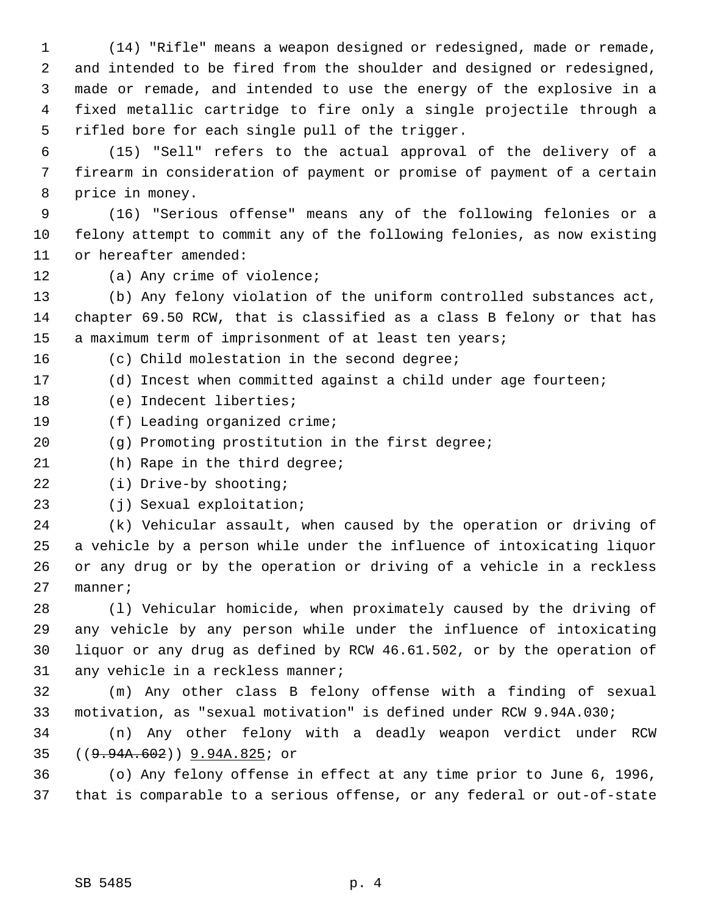1 (14) "Rifle" means a weapon designed or redesigned, made or remade, 2 and intended to be fired from the shoulder and designed or redesigned, 3 made or remade, and intended to use the energy of the explosive in a 4 fixed metallic cartridge to fire only a single projectile through a 5 rifled bore for each single pull of the trigger.

 6 (15) "Sell" refers to the actual approval of the delivery of a 7 firearm in consideration of payment or promise of payment of a certain 8 price in money.

 9 (16) "Serious offense" means any of the following felonies or a 10 felony attempt to commit any of the following felonies, as now existing 11 or hereafter amended:

12 (a) Any crime of violence;

13 (b) Any felony violation of the uniform controlled substances act, 14 chapter 69.50 RCW, that is classified as a class B felony or that has 15 a maximum term of imprisonment of at least ten years;

16 (c) Child molestation in the second degree;

17 (d) Incest when committed against a child under age fourteen;

18 (e) Indecent liberties;

- 19 (f) Leading organized crime;
- 20 (g) Promoting prostitution in the first degree;
- 21 (h) Rape in the third degree;

22 (i) Drive-by shooting;

23 (j) Sexual exploitation;

24 (k) Vehicular assault, when caused by the operation or driving of 25 a vehicle by a person while under the influence of intoxicating liquor 26 or any drug or by the operation or driving of a vehicle in a reckless 27 manner;

28 (l) Vehicular homicide, when proximately caused by the driving of 29 any vehicle by any person while under the influence of intoxicating 30 liquor or any drug as defined by RCW 46.61.502, or by the operation of 31 any vehicle in a reckless manner;

32 (m) Any other class B felony offense with a finding of sexual 33 motivation, as "sexual motivation" is defined under RCW 9.94A.030;

34 (n) Any other felony with a deadly weapon verdict under RCW 35 ((9.94A.602)) 9.94A.825; or

36 (o) Any felony offense in effect at any time prior to June 6, 1996, 37 that is comparable to a serious offense, or any federal or out-of-state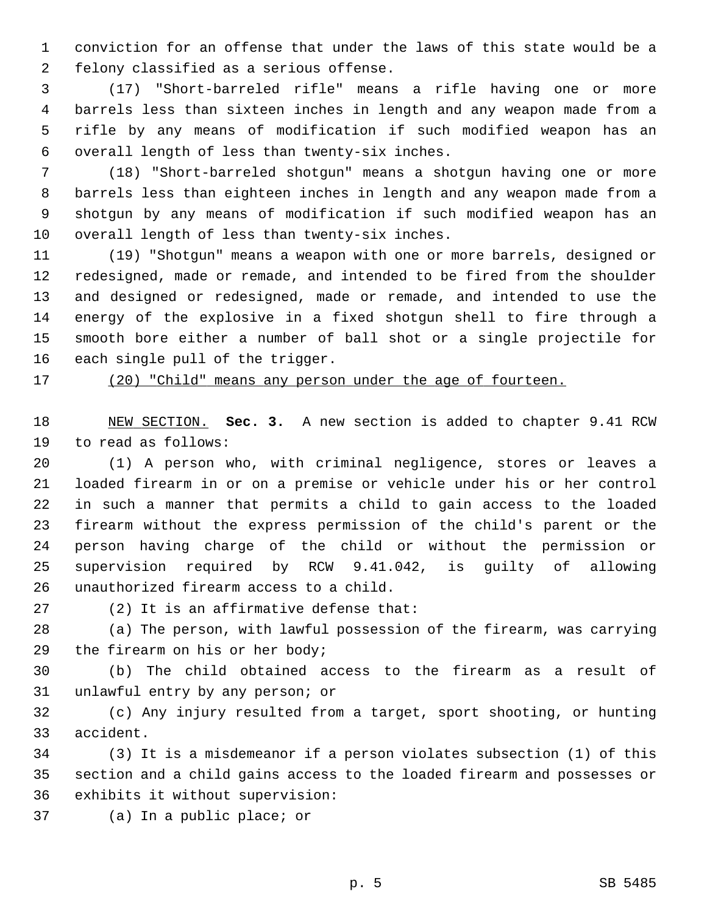1 conviction for an offense that under the laws of this state would be a 2 felony classified as a serious offense.

 3 (17) "Short-barreled rifle" means a rifle having one or more 4 barrels less than sixteen inches in length and any weapon made from a 5 rifle by any means of modification if such modified weapon has an 6 overall length of less than twenty-six inches.

 7 (18) "Short-barreled shotgun" means a shotgun having one or more 8 barrels less than eighteen inches in length and any weapon made from a 9 shotgun by any means of modification if such modified weapon has an 10 overall length of less than twenty-six inches.

11 (19) "Shotgun" means a weapon with one or more barrels, designed or 12 redesigned, made or remade, and intended to be fired from the shoulder 13 and designed or redesigned, made or remade, and intended to use the 14 energy of the explosive in a fixed shotgun shell to fire through a 15 smooth bore either a number of ball shot or a single projectile for 16 each single pull of the trigger.

17 (20) "Child" means any person under the age of fourteen.

18 NEW SECTION. **Sec. 3.** A new section is added to chapter 9.41 RCW 19 to read as follows:

20 (1) A person who, with criminal negligence, stores or leaves a 21 loaded firearm in or on a premise or vehicle under his or her control 22 in such a manner that permits a child to gain access to the loaded 23 firearm without the express permission of the child's parent or the 24 person having charge of the child or without the permission or 25 supervision required by RCW 9.41.042, is guilty of allowing 26 unauthorized firearm access to a child.

27 (2) It is an affirmative defense that:

28 (a) The person, with lawful possession of the firearm, was carrying 29 the firearm on his or her body;

30 (b) The child obtained access to the firearm as a result of 31 unlawful entry by any person; or

32 (c) Any injury resulted from a target, sport shooting, or hunting 33 accident.

34 (3) It is a misdemeanor if a person violates subsection (1) of this 35 section and a child gains access to the loaded firearm and possesses or 36 exhibits it without supervision:

37 (a) In a public place; or